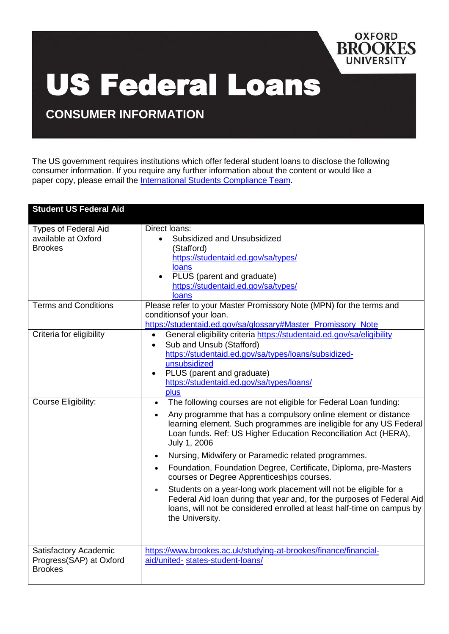

## US Federal Loans

**CONSUMER INFORMATION**

The US government requires institutions which offer federal student loans to disclose the following consumer information. If you require any further information about the content or would like a paper copy, please email the [International](mailto:us-federal-loan@brookes.ac.uk) Students Compliance Team.

| <b>Student US Federal Aid</b>                                        |                                                                                                                                                                                                                                                                                                                                                                                                                                                                                                                                                                                                                                                                                                                                                                                    |
|----------------------------------------------------------------------|------------------------------------------------------------------------------------------------------------------------------------------------------------------------------------------------------------------------------------------------------------------------------------------------------------------------------------------------------------------------------------------------------------------------------------------------------------------------------------------------------------------------------------------------------------------------------------------------------------------------------------------------------------------------------------------------------------------------------------------------------------------------------------|
| <b>Types of Federal Aid</b><br>available at Oxford<br><b>Brookes</b> | Direct loans:<br>Subsidized and Unsubsidized<br>(Stafford)<br>https://studentaid.ed.gov/sa/types/<br><b>loans</b><br>PLUS (parent and graduate)<br>https://studentaid.ed.gov/sa/types/<br>loans                                                                                                                                                                                                                                                                                                                                                                                                                                                                                                                                                                                    |
| <b>Terms and Conditions</b>                                          | Please refer to your Master Promissory Note (MPN) for the terms and<br>conditions of your loan.<br>https://studentaid.ed.gov/sa/glossary#Master_Promissory_Note                                                                                                                                                                                                                                                                                                                                                                                                                                                                                                                                                                                                                    |
| Criteria for eligibility                                             | General eligibility criteria https://studentaid.ed.gov/sa/eligibility<br>$\bullet$<br>Sub and Unsub (Stafford)<br>$\bullet$<br>https://studentaid.ed.gov/sa/types/loans/subsidized-<br>unsubsidized<br>PLUS (parent and graduate)<br>$\bullet$<br>https://studentaid.ed.gov/sa/types/loans/<br>plus                                                                                                                                                                                                                                                                                                                                                                                                                                                                                |
| <b>Course Eligibility:</b>                                           | The following courses are not eligible for Federal Loan funding:<br>$\bullet$<br>Any programme that has a compulsory online element or distance<br>$\bullet$<br>learning element. Such programmes are ineligible for any US Federal<br>Loan funds. Ref: US Higher Education Reconciliation Act (HERA),<br>July 1, 2006<br>Nursing, Midwifery or Paramedic related programmes.<br>$\bullet$<br>Foundation, Foundation Degree, Certificate, Diploma, pre-Masters<br>$\bullet$<br>courses or Degree Apprenticeships courses.<br>Students on a year-long work placement will not be eligible for a<br>$\bullet$<br>Federal Aid loan during that year and, for the purposes of Federal Aid<br>loans, will not be considered enrolled at least half-time on campus by<br>the University. |
| Satisfactory Academic<br>Progress(SAP) at Oxford<br><b>Brookes</b>   | https://www.brookes.ac.uk/studying-at-brookes/finance/financial-<br>aid/united-states-student-loans/                                                                                                                                                                                                                                                                                                                                                                                                                                                                                                                                                                                                                                                                               |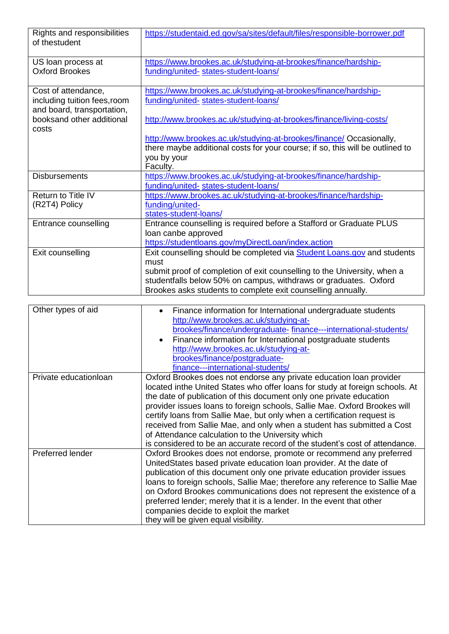| Rights and responsibilities<br>of thestudent                                      | https://studentaid.ed.gov/sa/sites/default/files/responsible-borrower.pdf                               |
|-----------------------------------------------------------------------------------|---------------------------------------------------------------------------------------------------------|
| US loan process at<br><b>Oxford Brookes</b>                                       | https://www.brookes.ac.uk/studying-at-brookes/finance/hardship-<br>funding/united-states-student-loans/ |
| Cost of attendance,<br>including tuition fees, room<br>and board, transportation, | https://www.brookes.ac.uk/studying-at-brookes/finance/hardship-<br>funding/united-states-student-loans/ |
| booksand other additional<br>costs                                                | http://www.brookes.ac.uk/studying-at-brookes/finance/living-costs/                                      |
|                                                                                   | http://www.brookes.ac.uk/studying-at-brookes/finance/ Occasionally,                                     |
|                                                                                   | there maybe additional costs for your course; if so, this will be outlined to                           |
|                                                                                   | you by your<br>Faculty.                                                                                 |
| <b>Disbursements</b>                                                              | https://www.brookes.ac.uk/studying-at-brookes/finance/hardship-                                         |
|                                                                                   | funding/united-states-student-loans/                                                                    |
| Return to Title IV                                                                | https://www.brookes.ac.uk/studying-at-brookes/finance/hardship-                                         |
| (R2T4) Policy                                                                     | funding/united-                                                                                         |
|                                                                                   | states-student-loans/                                                                                   |
| Entrance counselling                                                              | Entrance counselling is required before a Stafford or Graduate PLUS                                     |
|                                                                                   | loan canbe approved                                                                                     |
|                                                                                   | https://studentloans.gov/myDirectLoan/index.action                                                      |
| Exit counselling                                                                  | Exit counselling should be completed via <b>Student Loans.gov</b> and students                          |
|                                                                                   | must                                                                                                    |
|                                                                                   | submit proof of completion of exit counselling to the University, when a                                |
|                                                                                   | studentfalls below 50% on campus, withdraws or graduates. Oxford                                        |
|                                                                                   | Brookes asks students to complete exit counselling annually.                                            |

| Other types of aid     | Finance information for International undergraduate students<br>http://www.brookes.ac.uk/studying-at-<br>brookes/finance/undergraduate-finance---international-students/<br>Finance information for International postgraduate students<br>http://www.brookes.ac.uk/studying-at-<br>brookes/finance/postgraduate-                                                                                                                                                                                                                                                                                |
|------------------------|--------------------------------------------------------------------------------------------------------------------------------------------------------------------------------------------------------------------------------------------------------------------------------------------------------------------------------------------------------------------------------------------------------------------------------------------------------------------------------------------------------------------------------------------------------------------------------------------------|
|                        | finance---international-students/                                                                                                                                                                                                                                                                                                                                                                                                                                                                                                                                                                |
| Private education loan | Oxford Brookes does not endorse any private education loan provider<br>located inthe United States who offer loans for study at foreign schools. At<br>the date of publication of this document only one private education<br>provider issues loans to foreign schools, Sallie Mae. Oxford Brookes will<br>certify loans from Sallie Mae, but only when a certification request is<br>received from Sallie Mae, and only when a student has submitted a Cost<br>of Attendance calculation to the University which<br>is considered to be an accurate record of the student's cost of attendance. |
| Preferred lender       | Oxford Brookes does not endorse, promote or recommend any preferred<br>UnitedStates based private education loan provider. At the date of<br>publication of this document only one private education provider issues<br>loans to foreign schools, Sallie Mae; therefore any reference to Sallie Mae<br>on Oxford Brookes communications does not represent the existence of a<br>preferred lender; merely that it is a lender. In the event that other<br>companies decide to exploit the market<br>they will be given equal visibility.                                                         |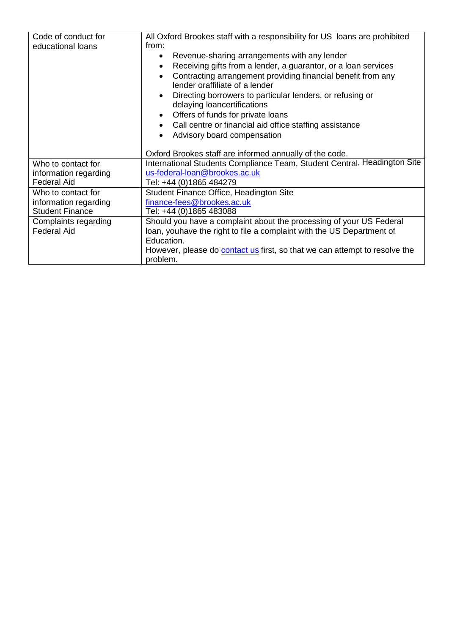| Code of conduct for<br>educational loans | All Oxford Brookes staff with a responsibility for US loans are prohibited<br>from:<br>Revenue-sharing arrangements with any lender<br>$\bullet$<br>Receiving gifts from a lender, a guarantor, or a loan services<br>Contracting arrangement providing financial benefit from any<br>lender oraffiliate of a lender<br>Directing borrowers to particular lenders, or refusing or<br>delaying loancertifications<br>Offers of funds for private loans<br>Call centre or financial aid office staffing assistance<br>Advisory board compensation<br>Oxford Brookes staff are informed annually of the code. |
|------------------------------------------|------------------------------------------------------------------------------------------------------------------------------------------------------------------------------------------------------------------------------------------------------------------------------------------------------------------------------------------------------------------------------------------------------------------------------------------------------------------------------------------------------------------------------------------------------------------------------------------------------------|
| Who to contact for                       | International Students Compliance Team, Student Central, Headington Site                                                                                                                                                                                                                                                                                                                                                                                                                                                                                                                                   |
| information regarding                    | us-federal-loan@brookes.ac.uk                                                                                                                                                                                                                                                                                                                                                                                                                                                                                                                                                                              |
| <b>Federal Aid</b>                       | Tel: +44 (0)1865 484279                                                                                                                                                                                                                                                                                                                                                                                                                                                                                                                                                                                    |
| Who to contact for                       | Student Finance Office, Headington Site                                                                                                                                                                                                                                                                                                                                                                                                                                                                                                                                                                    |
| information regarding                    | finance-fees@brookes.ac.uk                                                                                                                                                                                                                                                                                                                                                                                                                                                                                                                                                                                 |
| <b>Student Finance</b>                   | Tel: +44 (0)1865 483088                                                                                                                                                                                                                                                                                                                                                                                                                                                                                                                                                                                    |
| Complaints regarding                     | Should you have a complaint about the processing of your US Federal                                                                                                                                                                                                                                                                                                                                                                                                                                                                                                                                        |
| <b>Federal Aid</b>                       | loan, youhave the right to file a complaint with the US Department of                                                                                                                                                                                                                                                                                                                                                                                                                                                                                                                                      |
|                                          | Education.                                                                                                                                                                                                                                                                                                                                                                                                                                                                                                                                                                                                 |
|                                          | However, please do <b>contact us</b> first, so that we can attempt to resolve the<br>problem.                                                                                                                                                                                                                                                                                                                                                                                                                                                                                                              |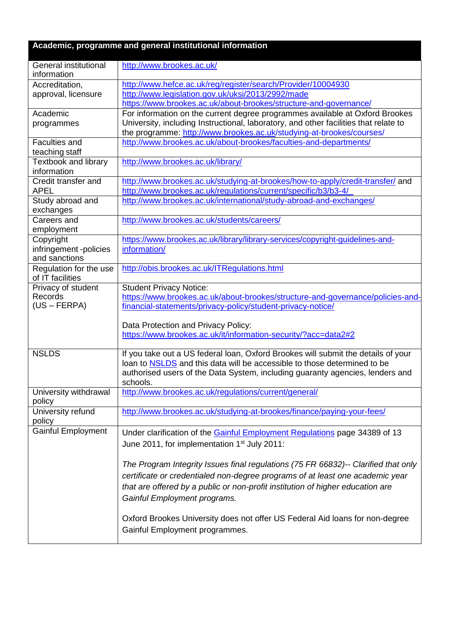| Academic, programme and general institutional information |                                                                                                                                                                                                                                                                                       |  |
|-----------------------------------------------------------|---------------------------------------------------------------------------------------------------------------------------------------------------------------------------------------------------------------------------------------------------------------------------------------|--|
| General institutional<br>information                      | http://www.brookes.ac.uk/                                                                                                                                                                                                                                                             |  |
| Accreditation,<br>approval, licensure                     | http://www.hefce.ac.uk/reg/register/search/Provider/10004930<br>http://www.legislation.gov.uk/uksi/2013/2992/made<br>https://www.brookes.ac.uk/about-brookes/structure-and-governance/                                                                                                |  |
| Academic<br>programmes                                    | For information on the current degree programmes available at Oxford Brookes<br>University, including Instructional, laboratory, and other facilities that relate to<br>the programme: http://www.brookes.ac.uk/studying-at-brookes/courses/                                          |  |
| <b>Faculties and</b><br>teaching staff                    | http://www.brookes.ac.uk/about-brookes/faculties-and-departments/                                                                                                                                                                                                                     |  |
| <b>Textbook and library</b><br>information                | http://www.brookes.ac.uk/library/                                                                                                                                                                                                                                                     |  |
| Credit transfer and<br><b>APEL</b>                        | http://www.brookes.ac.uk/studying-at-brookes/how-to-apply/credit-transfer/ and<br>http://www.brookes.ac.uk/regulations/current/specific/b3/b3-4/                                                                                                                                      |  |
| Study abroad and<br>exchanges                             | http://www.brookes.ac.uk/international/study-abroad-and-exchanges/                                                                                                                                                                                                                    |  |
| Careers and<br>employment                                 | http://www.brookes.ac.uk/students/careers/                                                                                                                                                                                                                                            |  |
| Copyright<br>infringement -policies<br>and sanctions      | https://www.brookes.ac.uk/library/library-services/copyright-guidelines-and-<br>information/                                                                                                                                                                                          |  |
| Regulation for the use<br>of IT facilities                | http://obis.brookes.ac.uk/ITRegulations.html                                                                                                                                                                                                                                          |  |
| Privacy of student<br><b>Records</b><br>$(US - FERPA)$    | <b>Student Privacy Notice:</b><br>https://www.brookes.ac.uk/about-brookes/structure-and-governance/policies-and-<br>financial-statements/privacy-policy/student-privacy-notice/                                                                                                       |  |
|                                                           | Data Protection and Privacy Policy:<br>https://www.brookes.ac.uk/it/information-security/?acc=data2#2                                                                                                                                                                                 |  |
| <b>NSLDS</b>                                              | If you take out a US federal loan, Oxford Brookes will submit the details of your<br>loan to NSLDS and this data will be accessible to those determined to be<br>authorised users of the Data System, including guaranty agencies, lenders and<br>schools.                            |  |
| University withdrawal<br>policy                           | http://www.brookes.ac.uk/regulations/current/general/                                                                                                                                                                                                                                 |  |
| University refund<br>policy                               | http://www.brookes.ac.uk/studying-at-brookes/finance/paying-your-fees/                                                                                                                                                                                                                |  |
| <b>Gainful Employment</b>                                 | Under clarification of the Gainful Employment Regulations page 34389 of 13<br>June 2011, for implementation 1 <sup>st</sup> July 2011:                                                                                                                                                |  |
|                                                           | The Program Integrity Issues final regulations (75 FR 66832)-- Clarified that only<br>certificate or credentialed non-degree programs of at least one academic year<br>that are offered by a public or non-profit institution of higher education are<br>Gainful Employment programs. |  |
|                                                           | Oxford Brookes University does not offer US Federal Aid loans for non-degree<br>Gainful Employment programmes.                                                                                                                                                                        |  |